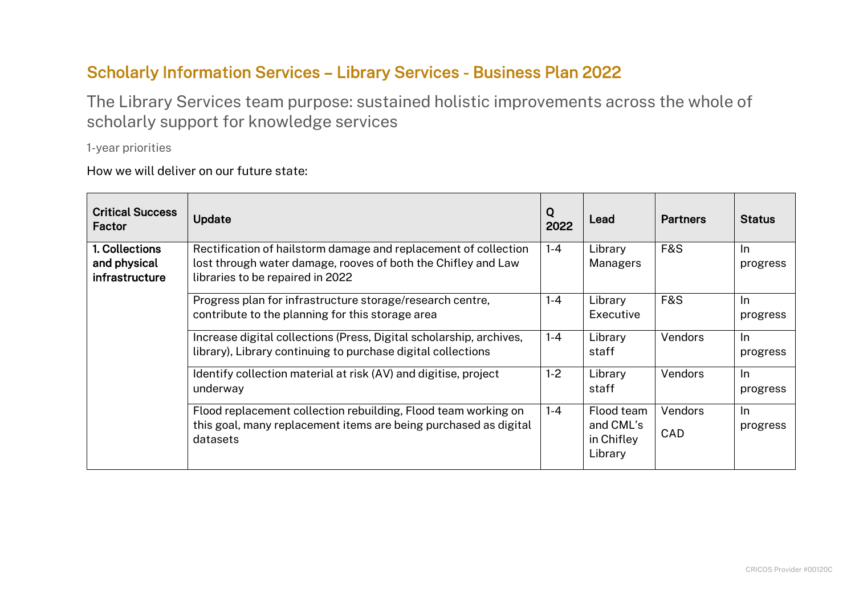## Scholarly Information Services – Library Services - Business Plan 2022

The Library Services team purpose: sustained holistic improvements across the whole of scholarly support for knowledge services

1-year priorities

How we will deliver on our future state:

| <b>Critical Success</b><br>Factor                | Update                                                                                                                                                               | Q<br>2022 | Lead                                             | <b>Partners</b>              | <b>Status</b>         |
|--------------------------------------------------|----------------------------------------------------------------------------------------------------------------------------------------------------------------------|-----------|--------------------------------------------------|------------------------------|-----------------------|
| 1. Collections<br>and physical<br>infrastructure | Rectification of hailstorm damage and replacement of collection<br>lost through water damage, rooves of both the Chifley and Law<br>libraries to be repaired in 2022 | $1 - 4$   | Library<br>Managers                              | <b>F&amp;S</b>               | In.<br>progress       |
|                                                  | Progress plan for infrastructure storage/research centre,<br>contribute to the planning for this storage area                                                        | $1 - 4$   | Library<br>Executive                             | <b>F&amp;S</b>               | In.<br>progress       |
|                                                  | Increase digital collections (Press, Digital scholarship, archives,<br>library), Library continuing to purchase digital collections                                  | $1 - 4$   | Library<br>staff                                 | <b>Vendors</b>               | $\ln$<br>progress     |
|                                                  | Identify collection material at risk (AV) and digitise, project<br>underway                                                                                          | $1-2$     | Library<br>staff                                 | Vendors                      | <b>In</b><br>progress |
|                                                  | Flood replacement collection rebuilding, Flood team working on<br>this goal, many replacement items are being purchased as digital<br>datasets                       | $1 - 4$   | Flood team<br>and CML's<br>in Chifley<br>Library | <b>Vendors</b><br><b>CAD</b> | $\ln$<br>progress     |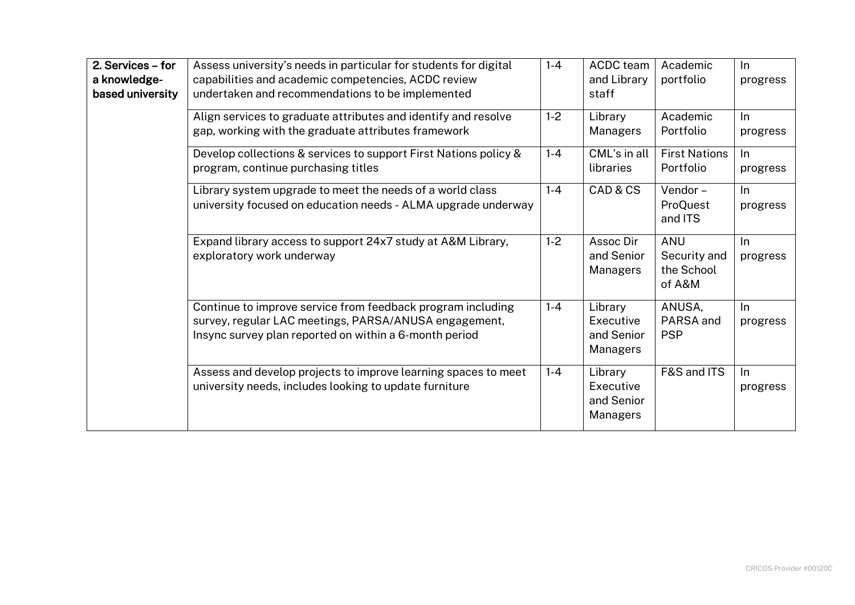| 2. Services - for<br>a knowledge-<br>based university | Assess university's needs in particular for students for digital<br>capabilities and academic competencies, ACDC review<br>undertaken and recommendations to be implemented    | $1 - 4$ | ACDC team<br>and Library<br>staff                     | Academic<br>portfolio                              | ln<br>progress    |
|-------------------------------------------------------|--------------------------------------------------------------------------------------------------------------------------------------------------------------------------------|---------|-------------------------------------------------------|----------------------------------------------------|-------------------|
|                                                       | Align services to graduate attributes and identify and resolve<br>gap, working with the graduate attributes framework                                                          | $1-2$   | Library<br>Managers                                   | Academic<br>Portfolio                              | ln<br>progress    |
|                                                       | Develop collections & services to support First Nations policy &<br>program, continue purchasing titles                                                                        | $1 - 4$ | CML's in all<br>libraries                             | <b>First Nations</b><br>Portfolio                  | ln<br>progress    |
|                                                       | Library system upgrade to meet the needs of a world class<br>university focused on education needs - ALMA upgrade underway                                                     | $1 - 4$ | CAD & CS                                              | Vendor-<br>ProQuest<br>and ITS                     | $\ln$<br>progress |
|                                                       | Expand library access to support 24x7 study at A&M Library,<br>exploratory work underway                                                                                       | $1-2$   | Assoc Dir<br>and Senior<br>Managers                   | <b>ANU</b><br>Security and<br>the School<br>of A&M | ln<br>progress    |
|                                                       | Continue to improve service from feedback program including<br>survey, regular LAC meetings, PARSA/ANUSA engagement,<br>Insync survey plan reported on within a 6-month period | $1 - 4$ | Library<br>Executive<br>and Senior<br>Managers        | ANUSA,<br>PARSA and<br><b>PSP</b>                  | $\ln$<br>progress |
|                                                       | Assess and develop projects to improve learning spaces to meet<br>university needs, includes looking to update furniture                                                       | $1 - 4$ | Library<br>Executive<br>and Senior<br><b>Managers</b> | F&S and ITS                                        | ln<br>progress    |